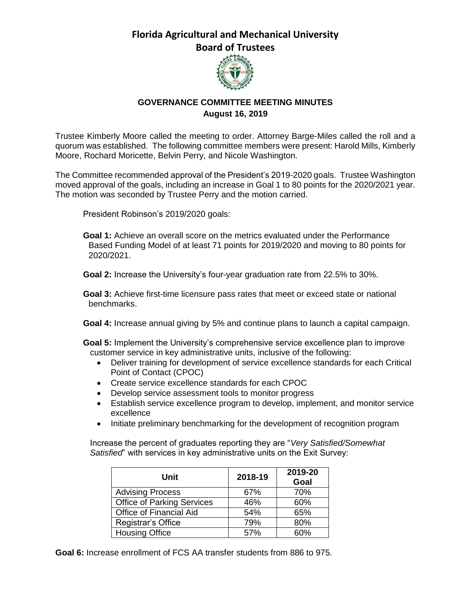## **Florida Agricultural and Mechanical University Board of Trustees**



## **GOVERNANCE COMMITTEE MEETING MINUTES August 16, 2019**

Trustee Kimberly Moore called the meeting to order. Attorney Barge-Miles called the roll and a quorum was established. The following committee members were present: Harold Mills, Kimberly Moore, Rochard Moricette, Belvin Perry, and Nicole Washington.

The Committee recommended approval of the President's 2019-2020 goals. Trustee Washington moved approval of the goals, including an increase in Goal 1 to 80 points for the 2020/2021 year. The motion was seconded by Trustee Perry and the motion carried.

President Robinson's 2019/2020 goals:

**Goal 1:** Achieve an overall score on the metrics evaluated under the Performance Based Funding Model of at least 71 points for 2019/2020 and moving to 80 points for 2020/2021.

**Goal 2:** Increase the University's four-year graduation rate from 22.5% to 30%.

**Goal 3:** Achieve first-time licensure pass rates that meet or exceed state or national benchmarks.

**Goal 4:** Increase annual giving by 5% and continue plans to launch a capital campaign.

**Goal 5:** Implement the University's comprehensive service excellence plan to improve customer service in key administrative units, inclusive of the following:

- Deliver training for development of service excellence standards for each Critical Point of Contact (CPOC)
- Create service excellence standards for each CPOC
- Develop service assessment tools to monitor progress
- Establish service excellence program to develop, implement, and monitor service excellence
- Initiate preliminary benchmarking for the development of recognition program

Increase the percent of graduates reporting they are "*Very Satisfied/Somewhat Satisfied*" with services in key administrative units on the Exit Survey:

| Unit                              | 2018-19 | 2019-20<br>Goal |
|-----------------------------------|---------|-----------------|
| <b>Advising Process</b>           | 67%     | 70%             |
| <b>Office of Parking Services</b> | 46%     | 60%             |
| Office of Financial Aid           | 54%     | 65%             |
| Registrar's Office                | 79%     | 80%             |
| <b>Housing Office</b>             | 57%     | 60%             |

**Goal 6:** Increase enrollment of FCS AA transfer students from 886 to 975.